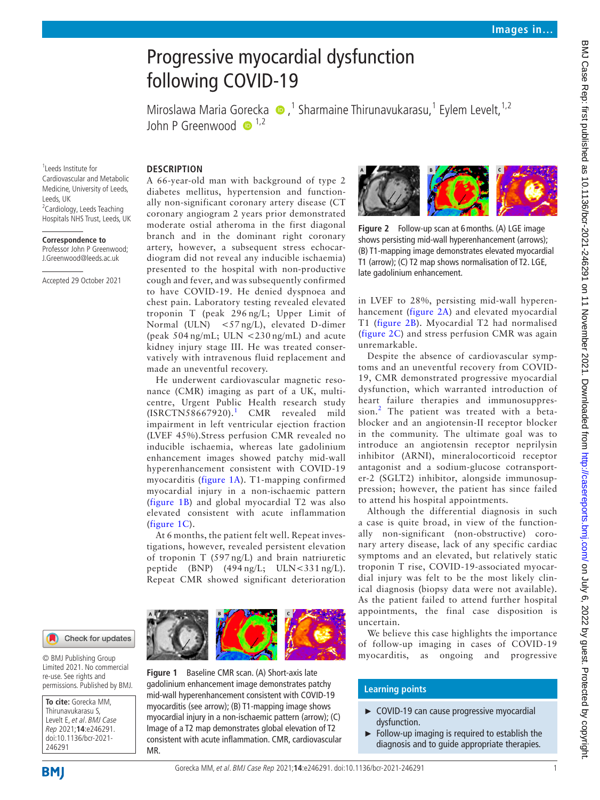# Progressive myocardial dysfunction following COVID-19

MiroslawaMaria Gorecka (D,<sup>1</sup> Sharmaine Thirunavukarasu,<sup>1</sup> Eylem Levelt,<sup>1,2</sup> John P Greenwood  $\mathbb{D}^{1,2}$ 

1 Leeds Institute for Cardiovascular and Metabolic Medicine, University of Leeds, Leeds, UK <sup>2</sup> Cardiology, Leeds Teaching Hospitals NHS Trust, Leeds, UK

#### **Correspondence to**

Professor John P Greenwood; J.Greenwood@leeds.ac.uk

Accepted 29 October 2021

## **DESCRIPTION**

A 66-year-old man with background of type 2 diabetes mellitus, hypertension and functionally non-significant coronary artery disease (CT coronary angiogram 2 years prior demonstrated moderate ostial atheroma in the first diagonal branch and in the dominant right coronary artery, however, a subsequent stress echocardiogram did not reveal any inducible ischaemia) presented to the hospital with non-productive cough and fever, and was subsequently confirmed to have COVID-19. He denied dyspnoea and chest pain. Laboratory testing revealed elevated troponin T (peak 296 ng/L; Upper Limit of Normal (ULN) <57 ng/L), elevated D-dimer (peak 504 ng/mL; ULN <230 ng/mL) and acute kidney injury stage III. He was treated conservatively with intravenous fluid replacement and made an uneventful recovery.

He underwent cardiovascular magnetic resonance (CMR) imaging as part of a UK, multicentre, Urgent Public Health research study  $(ISRCTN58667920).<sup>1</sup>$  $(ISRCTN58667920).<sup>1</sup>$  $(ISRCTN58667920).<sup>1</sup>$  CMR revealed mild impairment in left ventricular ejection fraction (LVEF 45%).Stress perfusion CMR revealed no inducible ischaemia, whereas late gadolinium enhancement images showed patchy mid-wall hyperenhancement consistent with COVID-19 myocarditis ([figure](#page-0-0) 1A). T1-mapping confirmed myocardial injury in a non-ischaemic pattern ([figure](#page-0-0) 1B) and global myocardial T2 was also elevated consistent with acute inflammation ([figure](#page-0-0) 1C).

At 6 months, the patient felt well. Repeat investigations, however, revealed persistent elevation of troponin T (597 ng/L) and brain natriuretic peptide  $(BNP)$   $(494 \text{ ng/L}; \text{ ULN} < 331 \text{ ng/L}).$ Repeat CMR showed significant deterioration



© BMJ Publishing Group Limited 2021. No commercial re-use. See rights and permissions. Published by BMJ.

**To cite:** Gorecka MM, Thirunavukarasu S, Levelt E, et al. BMJ Case Rep 2021;**14**:e246291. doi:10.1136/bcr-2021- 246291

<span id="page-0-0"></span>

**Figure 1** Baseline CMR scan. (A) Short-axis late gadolinium enhancement image demonstrates patchy mid-wall hyperenhancement consistent with COVID-19 myocarditis (see arrow); (B) T1-mapping image shows myocardial injury in a non-ischaemic pattern (arrow); (C) Image of a T2 map demonstrates global elevation of T2 consistent with acute inflammation. CMR, cardiovascular MR.



<span id="page-0-1"></span>**Figure 2** Follow-up scan at 6months. (A) LGE image shows persisting mid-wall hyperenhancement (arrows); (B) T1-mapping image demonstrates elevated myocardial T1 (arrow); (C) T2 map shows normalisation of T2. LGE, late gadolinium enhancement.

in LVEF to 28%, persisting mid-wall hyperenhancement ([figure](#page-0-1) 2A) and elevated myocardial T1 [\(figure](#page-0-1) 2B). Myocardial T2 had normalised ([figure](#page-0-1) 2C) and stress perfusion CMR was again unremarkable.

Despite the absence of cardiovascular symptoms and an uneventful recovery from COVID-19, CMR demonstrated progressive myocardial dysfunction, which warranted introduction of heart failure therapies and immunosuppres-sion.<sup>[2](#page-1-1)</sup> The patient was treated with a betablocker and an angiotensin-II receptor blocker in the community. The ultimate goal was to introduce an angiotensin receptor neprilysin inhibitor (ARNI), mineralocorticoid receptor antagonist and a sodium-glucose cotransporter-2 (SGLT2) inhibitor, alongside immunosuppression; however, the patient has since failed to attend his hospital appointments.

Although the differential diagnosis in such a case is quite broad, in view of the functionally non-significant (non-obstructive) coronary artery disease, lack of any specific cardiac symptoms and an elevated, but relatively static troponin T rise, COVID-19-associated myocardial injury was felt to be the most likely clinical diagnosis (biopsy data were not available). As the patient failed to attend further hospital appointments, the final case disposition is uncertain.

We believe this case highlights the importance of follow-up imaging in cases of COVID-19 myocarditis, as ongoing and progressive

# **Learning points**

- ► COVID-19 can cause progressive myocardial dysfunction.
- ► Follow-up imaging is required to establish the diagnosis and to guide appropriate therapies.